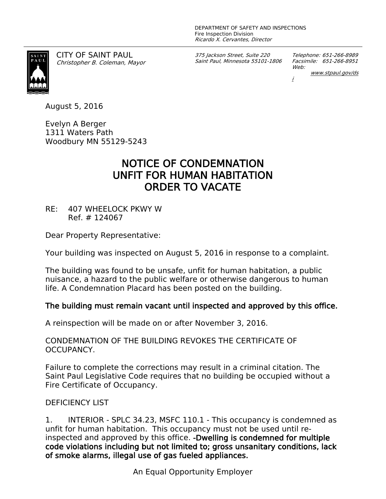

CITY OF SAINT PAUL *Christopher B. Coleman, Mayor* *375 Jackson Street, Suite 220 Saint Paul, Minnesota 55101-1806* *Telephone: 651-266-8989 Facsimile: 651-266-8951 Web: www.stpaul.gov/ds*

*i*

August 5, 2016

Evelyn A Berger 1311 Waters Path Woodbury MN 55129-5243

## **NOTICE OF CONDEMNATION UNFIT FOR HUMAN HABITATION ORDER TO VACATE**

RE: 407 WHEELOCK PKWY W Ref. # 124067

Dear Property Representative:

Your building was inspected on August 5, 2016 in response to a complaint.

The building was found to be unsafe, unfit for human habitation, a public nuisance, a hazard to the public welfare or otherwise dangerous to human life. A Condemnation Placard has been posted on the building.

## **The building must remain vacant until inspected and approved by this office.**

A reinspection will be made on or after November 3, 2016.

CONDEMNATION OF THE BUILDING REVOKES THE CERTIFICATE OF OCCUPANCY.

Failure to complete the corrections may result in a criminal citation. The Saint Paul Legislative Code requires that no building be occupied without a Fire Certificate of Occupancy.

## DEFICIENCY LIST

1. INTERIOR - SPLC 34.23, MSFC 110.1 - This occupancy is condemned as unfit for human habitation. This occupancy must not be used until reinspected and approved by this office. **-Dwelling is condemned for multiple code violations including but not limited to; gross unsanitary conditions, lack of smoke alarms, illegal use of gas fueled appliances.**

An Equal Opportunity Employer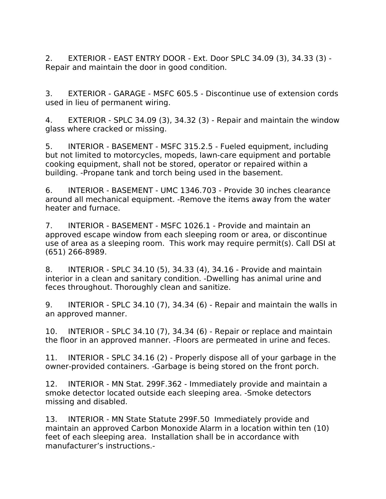2. EXTERIOR - EAST ENTRY DOOR - Ext. Door SPLC 34.09 (3), 34.33 (3) - Repair and maintain the door in good condition.

3. EXTERIOR - GARAGE - MSFC 605.5 - Discontinue use of extension cords used in lieu of permanent wiring.

4. EXTERIOR - SPLC 34.09 (3), 34.32 (3) - Repair and maintain the window glass where cracked or missing.

5. INTERIOR - BASEMENT - MSFC 315.2.5 - Fueled equipment, including but not limited to motorcycles, mopeds, lawn-care equipment and portable cooking equipment, shall not be stored, operator or repaired within a building. -Propane tank and torch being used in the basement.

6. INTERIOR - BASEMENT - UMC 1346.703 - Provide 30 inches clearance around all mechanical equipment. -Remove the items away from the water heater and furnace.

7. INTERIOR - BASEMENT - MSFC 1026.1 - Provide and maintain an approved escape window from each sleeping room or area, or discontinue use of area as a sleeping room. This work may require permit(s). Call DSI at (651) 266-8989.

8. INTERIOR - SPLC 34.10 (5), 34.33 (4), 34.16 - Provide and maintain interior in a clean and sanitary condition. -Dwelling has animal urine and feces throughout. Thoroughly clean and sanitize.

9. INTERIOR - SPLC 34.10 (7), 34.34 (6) - Repair and maintain the walls in an approved manner.

10. INTERIOR - SPLC 34.10 (7), 34.34 (6) - Repair or replace and maintain the floor in an approved manner. -Floors are permeated in urine and feces.

11. INTERIOR - SPLC 34.16 (2) - Properly dispose all of your garbage in the owner-provided containers. -Garbage is being stored on the front porch.

12. INTERIOR - MN Stat. 299F.362 - Immediately provide and maintain a smoke detector located outside each sleeping area. -Smoke detectors missing and disabled.

13. INTERIOR - MN State Statute 299F.50 Immediately provide and maintain an approved Carbon Monoxide Alarm in a location within ten (10) feet of each sleeping area. Installation shall be in accordance with manufacturer's instructions.-